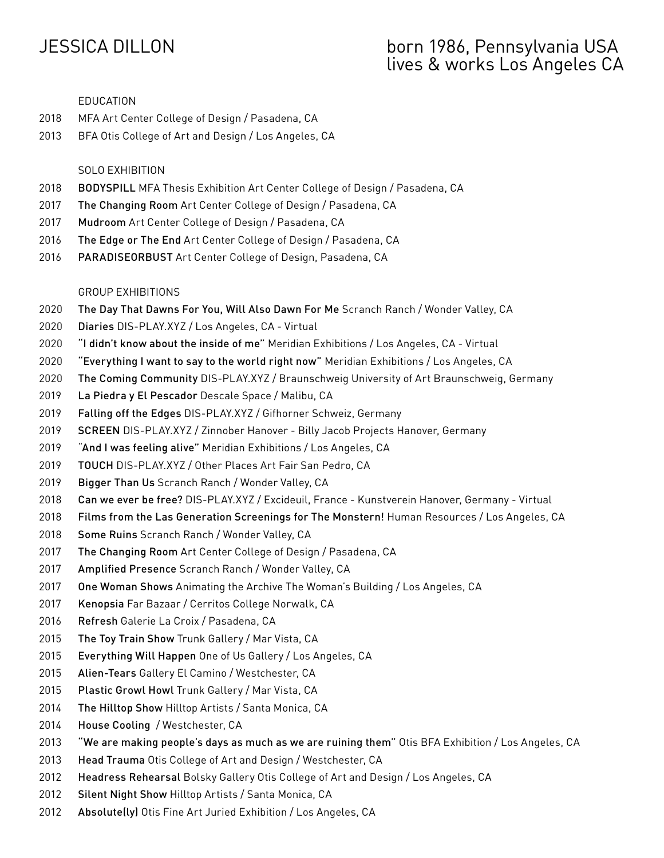# JESSICA DILLON born 1986, Pennsylvania USA lives & works Los Angeles CA

#### EDUCATION

- MFA Art Center College of Design / Pasadena, CA
- BFA Otis College of Art and Design / Los Angeles, CA

## SOLO EXHIBITION

- BODYSPILL MFA Thesis Exhibition Art Center College of Design / Pasadena, CA
- The Changing Room Art Center College of Design / Pasadena, CA
- Mudroom Art Center College of Design / Pasadena, CA
- 2016 The Edge or The End Art Center College of Design / Pasadena, CA
- 2016 PARADISEORBUST Art Center College of Design, Pasadena, CA

## GROUP EXHIBITIONS

- The Day That Dawns For You, Will Also Dawn For Me Scranch Ranch / Wonder Valley, CA
- Diaries DIS-PLAY.XYZ / Los Angeles, CA Virtual
- "I didn't know about the inside of me" Meridian Exhibitions / Los Angeles, CA Virtual
- "Everything I want to say to the world right now" Meridian Exhibitions / Los Angeles, CA
- The Coming Community DIS-PLAY.XYZ / Braunschweig University of Art Braunschweig, Germany
- La Piedra y El Pescador Descale Space / Malibu, CA
- Falling off the Edges DIS-PLAY.XYZ / Gifhorner Schweiz, Germany
- SCREEN DIS-PLAY.XYZ / Zinnober Hanover Billy Jacob Projects Hanover, Germany
- "And I was feeling alive" Meridian Exhibitions / Los Angeles, CA
- TOUCH DIS-PLAY.XYZ / Other Places Art Fair San Pedro, CA
- 2019 Bigger Than Us Scranch Ranch / Wonder Valley, CA
- Can we ever be free? DIS-PLAY.XYZ / Excideuil, France Kunstverein Hanover, Germany Virtual
- Films from the Las Generation Screenings for The Monstern! Human Resources / Los Angeles, CA
- 2018 Some Ruins Scranch Ranch / Wonder Valley, CA
- The Changing Room Art Center College of Design / Pasadena, CA
- Amplified Presence Scranch Ranch / Wonder Valley, CA
- One Woman Shows Animating the Archive The Woman's Building / Los Angeles, CA
- Kenopsia Far Bazaar / Cerritos College Norwalk, CA
- Refresh Galerie La Croix / Pasadena, CA
- 2015 The Toy Train Show Trunk Gallery / Mar Vista, CA
- Everything Will Happen One of Us Gallery / Los Angeles, CA
- Alien-Tears Gallery El Camino / Westchester, CA
- Plastic Growl Howl Trunk Gallery / Mar Vista, CA
- 2014 The Hilltop Show Hilltop Artists / Santa Monica, CA
- House Cooling / Westchester, CA
- "We are making people's days as much as we are ruining them" Otis BFA Exhibition / Los Angeles, CA
- Head Trauma Otis College of Art and Design / Westchester, CA
- Headress Rehearsal Bolsky Gallery Otis College of Art and Design / Los Angeles, CA
- 2012 Silent Night Show Hilltop Artists / Santa Monica, CA
- 2012 Absolute(ly) Otis Fine Art Juried Exhibition / Los Angeles, CA